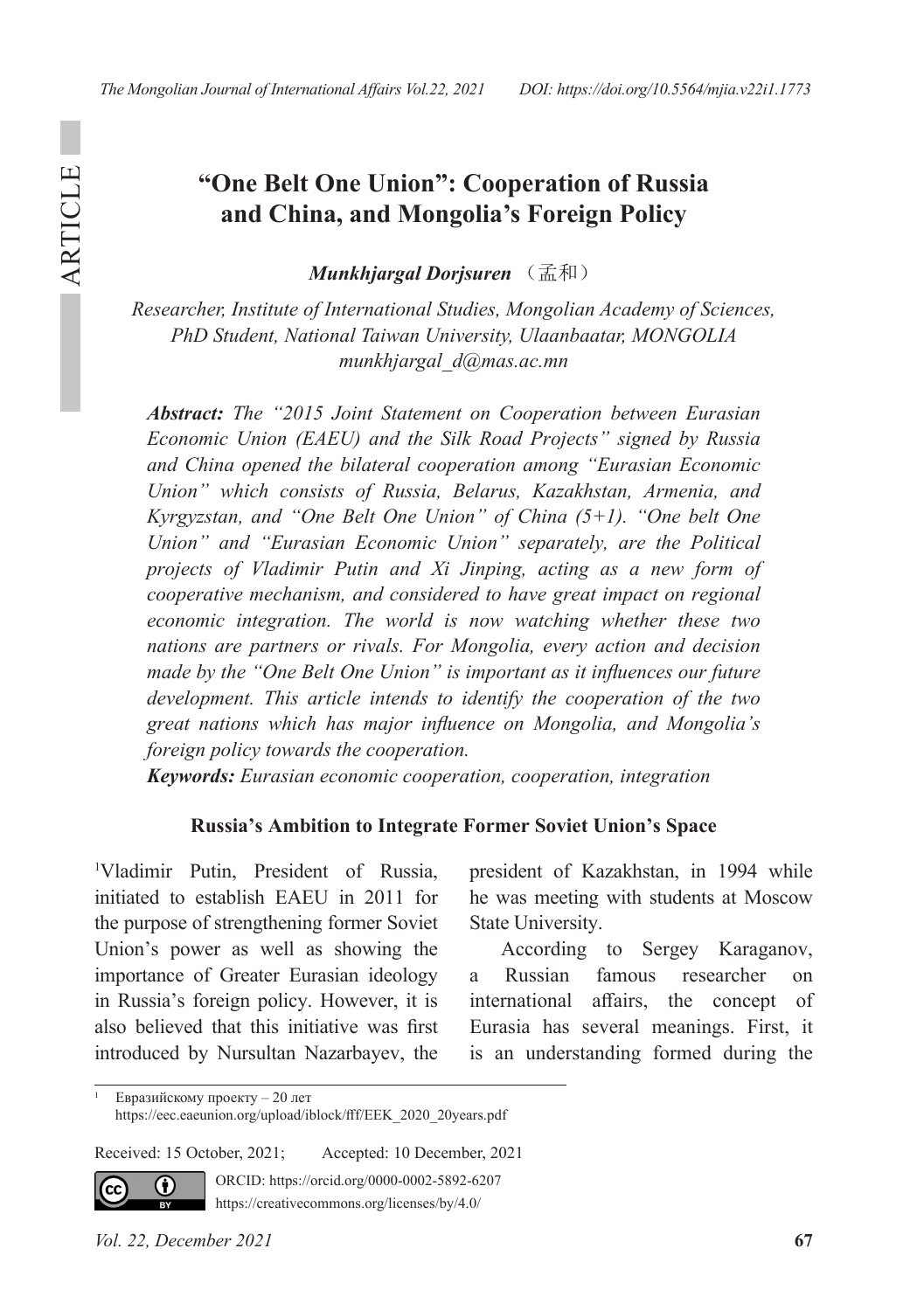ARTICLE

**ARTICLE** 

# **"One Belt One Union": Cooperation of Russia and China, and Mongolia's Foreign Policy**

*Munkhjargal Dorjsuren* (孟和)

*Researcher, Institute of International Studies, Mongolian Academy of Sciences, PhD Student, National Taiwan University, Ulaanbaatar, MONGOLIA munkhjargal\_d@mas.ac.mn*

*Abstract: The "2015 Joint Statement on Cooperation between Eurasian Economic Union (EAEU) and the Silk Road Projects" signed by Russia and China opened the bilateral cooperation among "Eurasian Economic Union" which consists of Russia, Belarus, Kazakhstan, Armenia, and Kyrgyzstan, and "One Belt One Union" of China (5+1). "One belt One Union" and "Eurasian Economic Union" separately, are the Political projects of Vladimir Putin and Xi Jinping, acting as a new form of cooperative mechanism, and considered to have great impact on regional economic integration. The world is now watching whether these two nations are partners or rivals. For Mongolia, every action and decision made by the "One Belt One Union" is important as it influences our future development. This article intends to identify the cooperation of the two great nations which has major influence on Mongolia, and Mongolia's foreign policy towards the cooperation.* 

*Keywords: Eurasian economic cooperation, cooperation, integration* 

#### **Russia's Ambition to Integrate Former Soviet Union's Space**

1 Vladimir Putin, President of Russia, initiated to establish EAEU in 2011 for the purpose of strengthening former Soviet Union's power as well as showing the importance of Greater Eurasian ideology in Russia's foreign policy. However, it is also believed that this initiative was first introduced by Nursultan Nazarbayev, the

president of Kazakhstan, in 1994 while he was meeting with students at Moscow State University.

According to Sergey Karaganov, a Russian famous researcher on international affairs, the concept of Eurasia has several meanings. First, it is an understanding formed during the

Received: 15 October, 2021; Accepted: 10 December, 2021



ORCID: https://orcid.org/0000-0002-5892-6207

https://creativecommons.org/licenses/by/4.0/

<sup>1</sup> Евразийскому проекту – 20 лет https://eec.eaeunion.org/upload/iblock/fff/EEK\_2020\_20years.pdf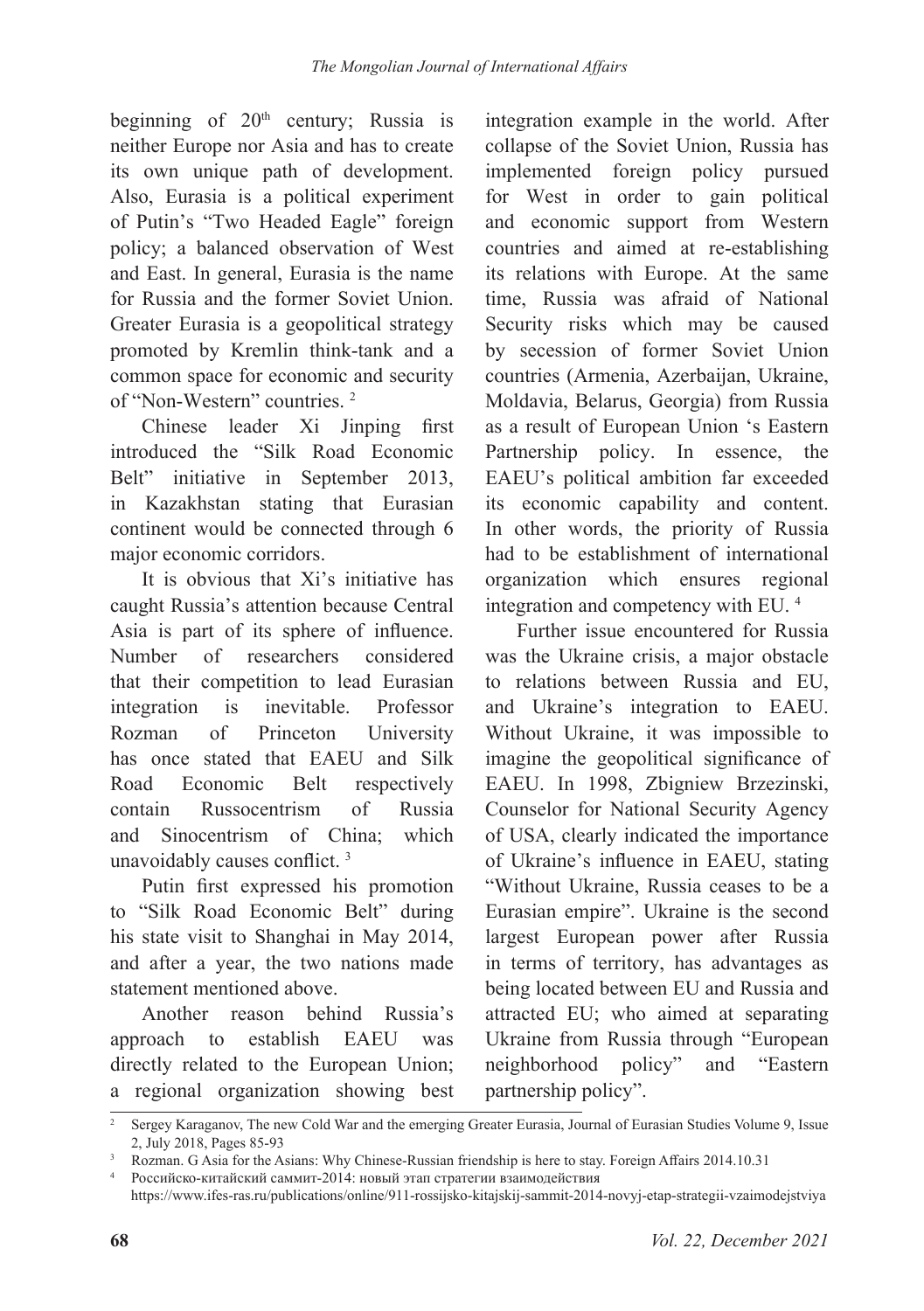beginning of  $20<sup>th</sup>$  century; Russia is neither Europe nor Asia and has to create its own unique path of development. Also, Eurasia is a political experiment of Putin's "Two Headed Eagle" foreign policy; a balanced observation of West and East. In general, Eurasia is the name for Russia and the former Soviet Union. Greater Eurasia is a geopolitical strategy promoted by Kremlin think-tank and a common space for economic and security of "Non-Western" countries. 2

Chinese leader Xi Jinping first introduced the "Silk Road Economic Belt" initiative in September 2013, in Kazakhstan stating that Eurasian continent would be connected through 6 major economic corridors.

It is obvious that Xi's initiative has caught Russia's attention because Central Asia is part of its sphere of influence. Number of researchers considered that their competition to lead Eurasian integration is inevitable. Professor Rozman of Princeton University has once stated that EAEU and Silk Road Economic Belt respectively contain Russocentrism of Russia and Sinocentrism of China; which unavoidably causes conflict. <sup>3</sup>

Putin first expressed his promotion to "Silk Road Economic Belt" during his state visit to Shanghai in May 2014, and after a year, the two nations made statement mentioned above.

Another reason behind Russia's approach to establish EAEU was directly related to the European Union; a regional organization showing best integration example in the world. After collapse of the Soviet Union, Russia has implemented foreign policy pursued for West in order to gain political and economic support from Western countries and aimed at re-establishing its relations with Europe. At the same time, Russia was afraid of National Security risks which may be caused by secession of former Soviet Union countries (Armenia, Azerbaijan, Ukraine, Moldavia, Belarus, Georgia) from Russia as a result of European Union 's Eastern Partnership policy. In essence, the EAEU's political ambition far exceeded its economic capability and content. In other words, the priority of Russia had to be establishment of international organization which ensures regional integration and competency with EU. 4

Further issue encountered for Russia was the Ukraine crisis, a major obstacle to relations between Russia and EU, and Ukraine's integration to EAEU. Without Ukraine, it was impossible to imagine the geopolitical significance of EAEU. In 1998, Zbigniew Brzezinski, Counselor for National Security Agency of USA, clearly indicated the importance of Ukraine's influence in EAEU, stating "Without Ukraine, Russia ceases to be a Eurasian empire". Ukraine is the second largest European power after Russia in terms of territory, has advantages as being located between EU and Russia and attracted EU; who aimed at separating Ukraine from Russia through "European neighborhood policy" and "Eastern partnership policy".

<sup>&</sup>lt;sup>2</sup> Sergey Karaganov, The new Cold War and the emerging Greater Eurasia, Journal of Eurasian Studies Volume 9, Issue 2, July 2018, Pages 85-93

<sup>&</sup>lt;sup>3</sup> Rozman. G Asia for the Asians: Why Chinese-Russian friendship is here to stay. Foreign Affairs 2014.10.31

Российско-китайский саммит-2014: новый этап стратегии взаимодействия https://www.ifes-ras.ru/publications/online/911-rossijsko-kitajskij-sammit-2014-novyj-etap-strategii-vzaimodejstviya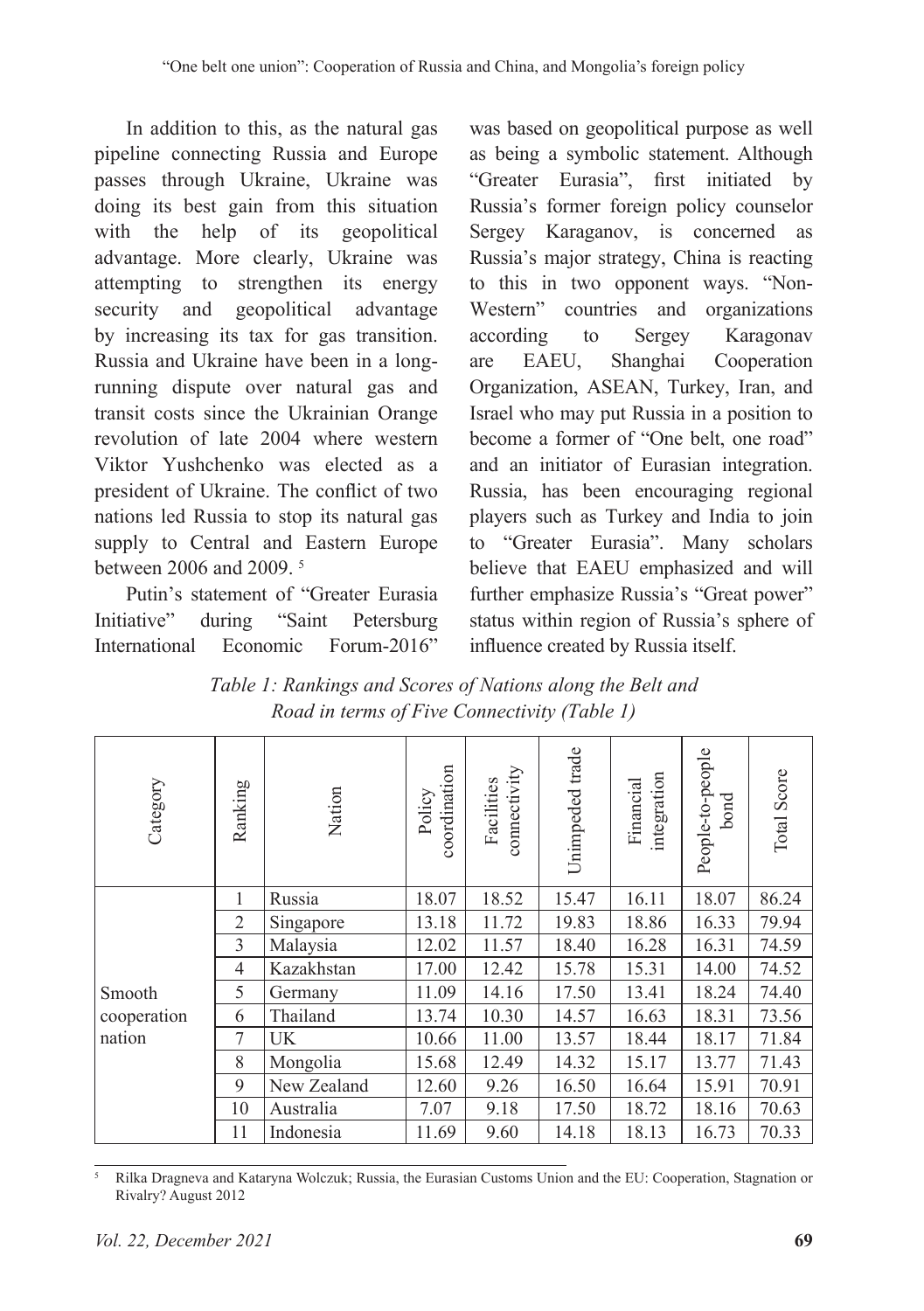In addition to this, as the natural gas pipeline connecting Russia and Europe passes through Ukraine, Ukraine was doing its best gain from this situation with the help of its geopolitical advantage. More clearly, Ukraine was attempting to strengthen its energy security and geopolitical advantage by increasing its tax for gas transition. Russia and Ukraine have been in a longrunning dispute over natural gas and transit costs since the Ukrainian Orange revolution of late 2004 where western Viktor Yushchenko was elected as a president of Ukraine. The conflict of two nations led Russia to stop its natural gas supply to Central and Eastern Europe between 2006 and 2009. 5

Putin's statement of "Greater Eurasia Initiative" during "Saint Petersburg International Economic Forum-2016"

was based on geopolitical purpose as well as being a symbolic statement. Although "Greater Eurasia", first initiated by Russia's former foreign policy counselor Sergey Karaganov, is concerned as Russia's major strategy, China is reacting to this in two opponent ways. "Non-Western" countries and organizations according to Sergey Karagonav are EAEU, Shanghai Cooperation Organization, ASEAN, Turkey, Iran, and Israel who may put Russia in a position to become a former of "One belt, one road" and an initiator of Eurasian integration. Russia, has been encouraging regional players such as Turkey and India to join to "Greater Eurasia". Many scholars believe that EAEU emphasized and will further emphasize Russia's "Great power" status within region of Russia's sphere of influence created by Russia itself.

*Table 1: Rankings and Scores of Nations along the Belt and Road in terms of Five Connectivity (Table 1)*

| Category                        | Ranking        | Nation      | coordination<br>Policy | connectivity<br>Facilities | Unimpeded trade | integration<br>Financial | People-to-people<br>bond | Total Score |
|---------------------------------|----------------|-------------|------------------------|----------------------------|-----------------|--------------------------|--------------------------|-------------|
| Smooth<br>cooperation<br>nation | 1              | Russia      | 18.07                  | 18.52                      | 15.47           | 16.11                    | 18.07                    | 86.24       |
|                                 | $\overline{2}$ | Singapore   | 13.18                  | 11.72                      | 19.83           | 18.86                    | 16.33                    | 79.94       |
|                                 | 3              | Malaysia    | 12.02                  | 11.57                      | 18.40           | 16.28                    | 16.31                    | 74.59       |
|                                 | 4              | Kazakhstan  | 17.00                  | 12.42                      | 15.78           | 15.31                    | 14.00                    | 74.52       |
|                                 | 5              | Germany     | 11.09                  | 14.16                      | 17.50           | 13.41                    | 18.24                    | 74.40       |
|                                 | 6              | Thailand    | 13.74                  | 10.30                      | 14.57           | 16.63                    | 18.31                    | 73.56       |
|                                 | 7              | UK          | 10.66                  | 11.00                      | 13.57           | 18.44                    | 18.17                    | 71.84       |
|                                 | 8              | Mongolia    | 15.68                  | 12.49                      | 14.32           | 15.17                    | 13.77                    | 71.43       |
|                                 | 9              | New Zealand | 12.60                  | 9.26                       | 16.50           | 16.64                    | 15.91                    | 70.91       |
|                                 | 10             | Australia   | 7.07                   | 9.18                       | 17.50           | 18.72                    | 18.16                    | 70.63       |
|                                 | 11             | Indonesia   | 11.69                  | 9.60                       | 14.18           | 18.13                    | 16.73                    | 70.33       |

<sup>5</sup> Rilka Dragneva and Kataryna Wolczuk; Russia, the Eurasian Customs Union and the EU: Cooperation, Stagnation or Rivalry? August 2012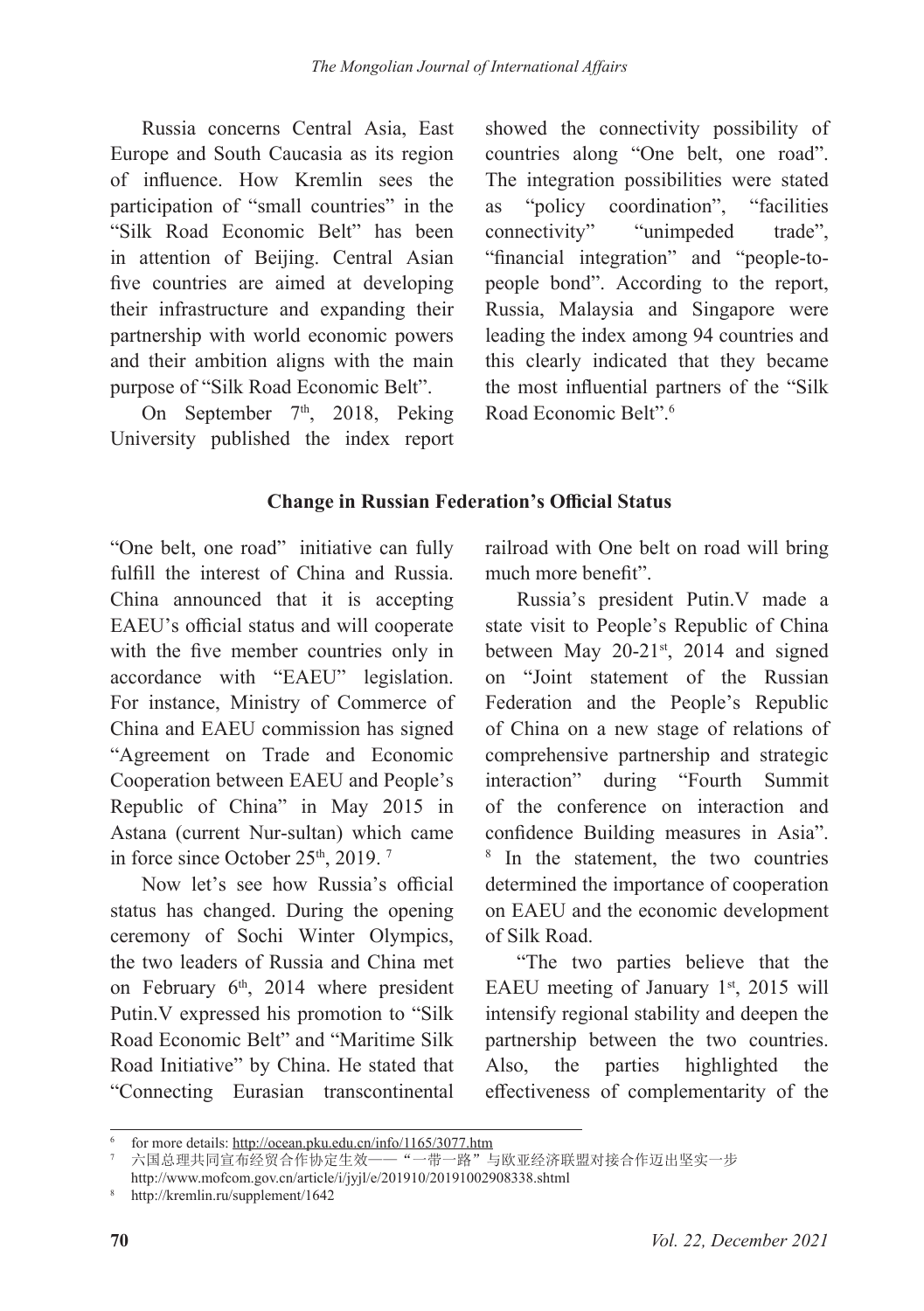Russia concerns Central Asia, East Europe and South Caucasia as its region of influence. How Kremlin sees the participation of "small countries" in the "Silk Road Economic Belt" has been in attention of Beijing. Central Asian five countries are aimed at developing their infrastructure and expanding their partnership with world economic powers and their ambition aligns with the main purpose of "Silk Road Economic Belt".

On September  $7<sup>th</sup>$ , 2018, Peking University published the index report showed the connectivity possibility of countries along "One belt, one road". The integration possibilities were stated as "policy coordination", "facilities connectivity" "unimpeded trade", "financial integration" and "people-topeople bond". According to the report, Russia, Malaysia and Singapore were leading the index among 94 countries and this clearly indicated that they became the most influential partners of the "Silk Road Economic Belt".<sup>6</sup>

### **Change in Russian Federation's Official Status**

"One belt, one road" initiative can fully fulfill the interest of China and Russia. China announced that it is accepting EAEU's official status and will cooperate with the five member countries only in accordance with "EAEU" legislation. For instance, Ministry of Commerce of China and EAEU commission has signed "Agreement on Trade and Economic Cooperation between EAEU and People's Republic of China" in May 2015 in Astana (current Nur-sultan) which came in force since October  $25<sup>th</sup>$ , 2019.<sup>7</sup>

Now let's see how Russia's official status has changed. During the opening ceremony of Sochi Winter Olympics, the two leaders of Russia and China met on February  $6<sup>th</sup>$ , 2014 where president Putin.V expressed his promotion to "Silk Road Economic Belt" and "Maritime Silk Road Initiative" by China. He stated that "Connecting Eurasian transcontinental

railroad with One belt on road will bring much more benefit".

Russia's president Putin.V made a state visit to People's Republic of China between May  $20-21$ <sup>st</sup>, 2014 and signed on "Joint statement of the Russian Federation and the People's Republic of China on a new stage of relations of comprehensive partnership and strategic interaction" during "Fourth Summit of the conference on interaction and confidence Building measures in Asia". <sup>8</sup> In the statement, the two countries determined the importance of cooperation on EAEU and the economic development of Silk Road.

"The two parties believe that the EAEU meeting of January  $1<sup>st</sup>$ , 2015 will intensify regional stability and deepen the partnership between the two countries. Also, the parties highlighted the effectiveness of complementarity of the

for more details: http://ocean.pku.edu.cn/info/1165/3077.htm

六国总理共同宣布经贸合作协定生效——"一带一路"与欧亚经济联盟对接合作迈出坚实一步

http://www.mofcom.gov.cn/article/i/jyjl/e/201910/20191002908338.shtml

<sup>8</sup> http://kremlin.ru/supplement/1642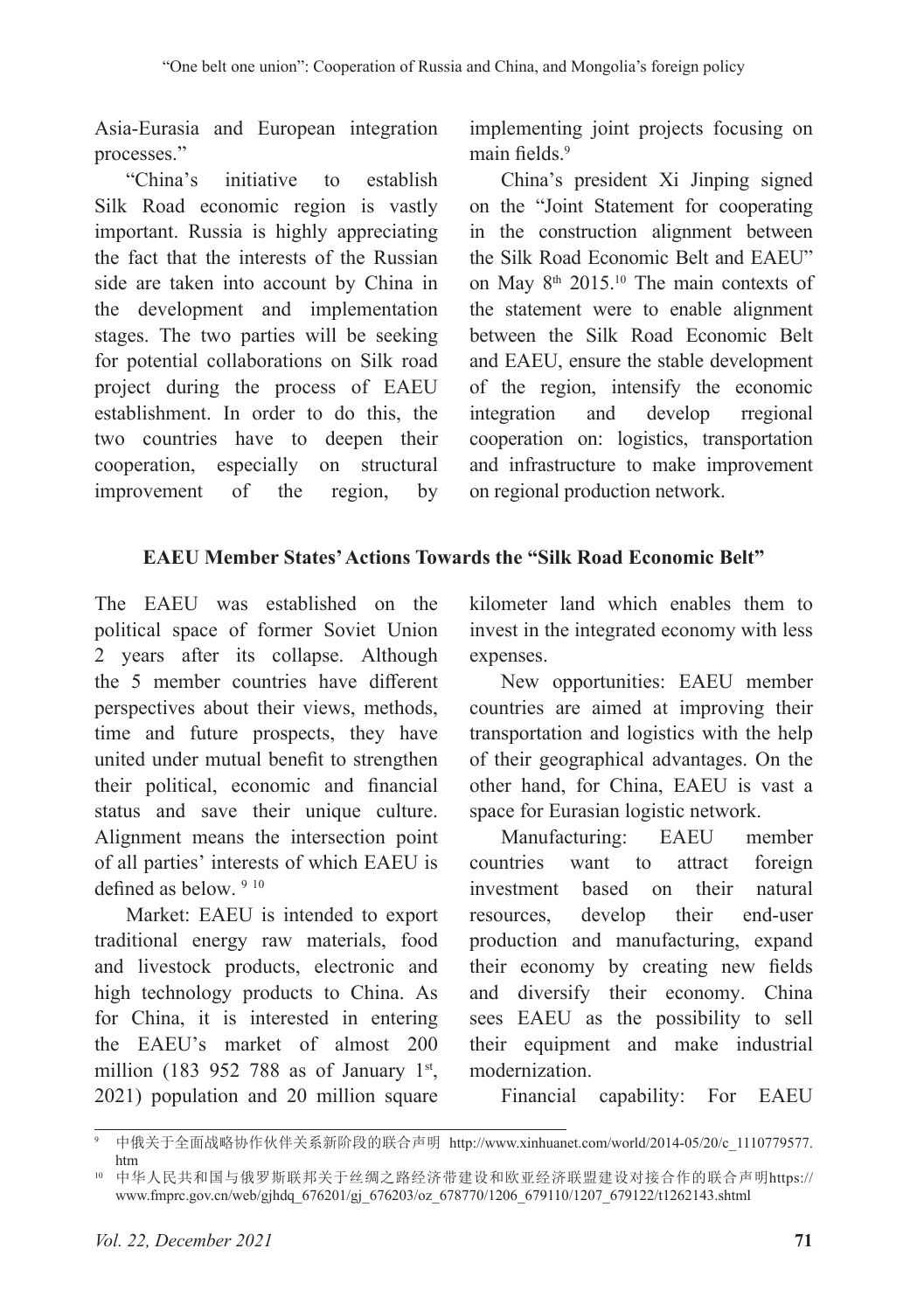Asia-Eurasia and European integration processes."

"China's initiative to establish Silk Road economic region is vastly important. Russia is highly appreciating the fact that the interests of the Russian side are taken into account by China in the development and implementation stages. The two parties will be seeking for potential collaborations on Silk road project during the process of EAEU establishment. In order to do this, the two countries have to deepen their cooperation, especially on structural improvement of the region, by

implementing joint projects focusing on main fields.<sup>9</sup>

China's president Xi Jinping signed on the "Joint Statement for cooperating in the construction alignment between the Silk Road Economic Belt and EAEU" on May 8<sup>th</sup> 2015.<sup>10</sup> The main contexts of the statement were to enable alignment between the Silk Road Economic Belt and EAEU, ensure the stable development of the region, intensify the economic integration and develop rregional cooperation on: logistics, transportation and infrastructure to make improvement on regional production network.

### **EAEU Member States' Actions Towards the "Silk Road Economic Belt"**

The EAEU was established on the political space of former Soviet Union 2 years after its collapse. Although the 5 member countries have different perspectives about their views, methods, time and future prospects, they have united under mutual benefit to strengthen their political, economic and financial status and save their unique culture. Alignment means the intersection point of all parties' interests of which EAEU is defined as below. 9 10

Market: EAEU is intended to export traditional energy raw materials, food and livestock products, electronic and high technology products to China. As for China, it is interested in entering the EAEU's market of almost 200 million (183 952 788 as of January 1st, 2021) population and 20 million square kilometer land which enables them to invest in the integrated economy with less expenses.

New opportunities: EAEU member countries are aimed at improving their transportation and logistics with the help of their geographical advantages. On the other hand, for China, EAEU is vast a space for Eurasian logistic network.

Manufacturing: EAEU member countries want to attract foreign investment based on their natural resources, develop their end-user production and manufacturing, expand their economy by creating new fields and diversify their economy. China sees EAEU as the possibility to sell their equipment and make industrial modernization.

Financial capability: For EAEU

<sup>9</sup> 中俄关于全面战略协作伙伴关系新阶段的联合声明 http://www.xinhuanet.com/world/2014-05/20/c\_1110779577. htm

<sup>10</sup> 中华人民共和国与俄罗斯联邦关于丝绸之路经济带建设和欧亚经济联盟建设对接合作的联合声明https:// www.fmprc.gov.cn/web/gjhdq\_676201/gj\_676203/oz\_678770/1206\_679110/1207\_679122/t1262143.shtml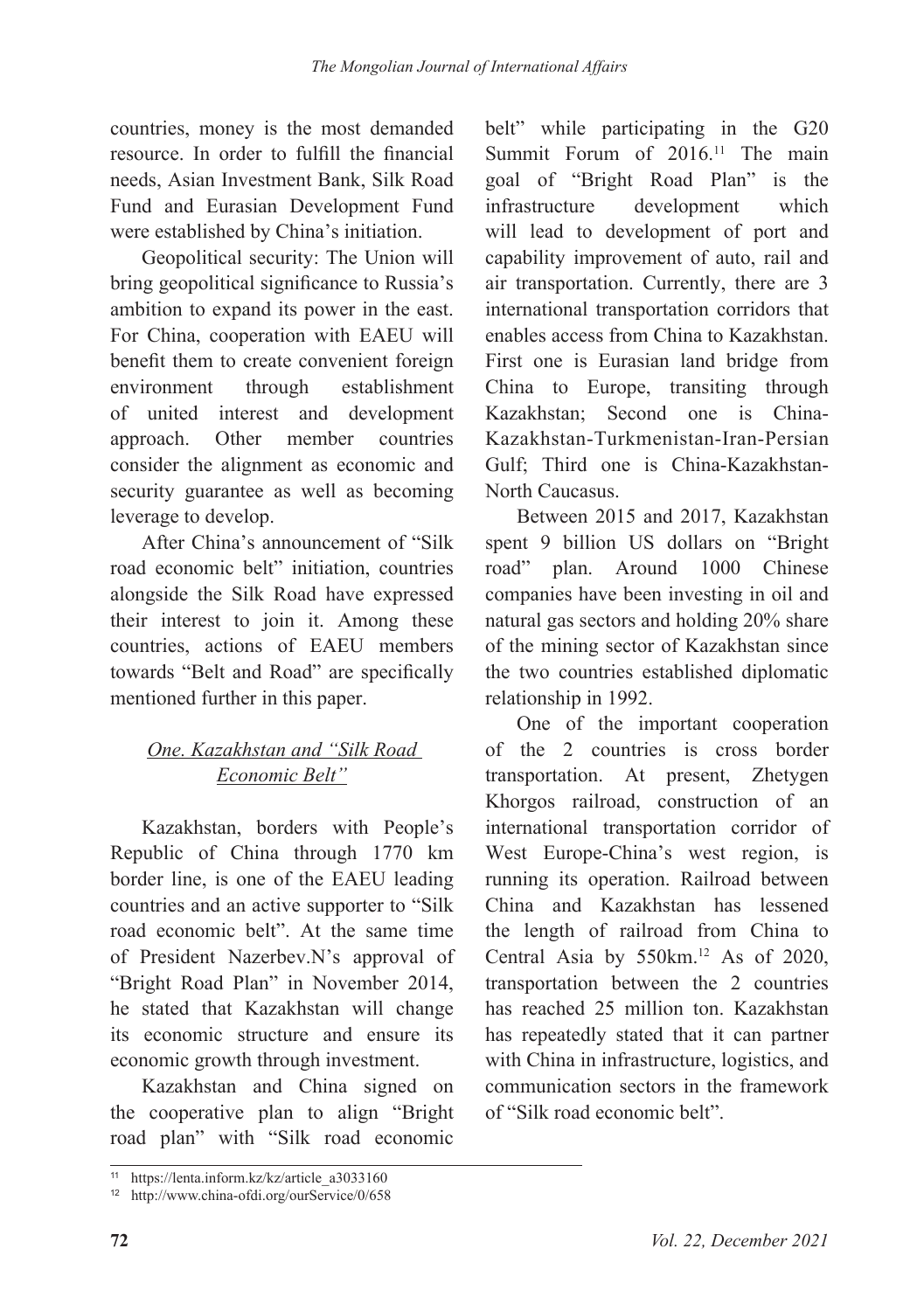countries, money is the most demanded resource. In order to fulfill the financial needs, Asian Investment Bank, Silk Road Fund and Eurasian Development Fund were established by China's initiation.

Geopolitical security: The Union will bring geopolitical significance to Russia's ambition to expand its power in the east. For China, cooperation with EAEU will benefit them to create convenient foreign environment through establishment of united interest and development approach. Other member countries consider the alignment as economic and security guarantee as well as becoming leverage to develop.

After China's announcement of "Silk road economic belt" initiation, countries alongside the Silk Road have expressed their interest to join it. Among these countries, actions of EAEU members towards "Belt and Road" are specifically mentioned further in this paper.

# *One. Kazakhstan and "Silk Road Economic Belt"*

Kazakhstan, borders with People's Republic of China through 1770 km border line, is one of the EAEU leading countries and an active supporter to "Silk road economic belt". At the same time of President Nazerbev.N's approval of "Bright Road Plan" in November 2014, he stated that Kazakhstan will change its economic structure and ensure its economic growth through investment.

Kazakhstan and China signed on the cooperative plan to align "Bright road plan" with "Silk road economic belt" while participating in the G20 Summit Forum of 2016.<sup>11</sup> The main goal of "Bright Road Plan" is the infrastructure development which will lead to development of port and capability improvement of auto, rail and air transportation. Currently, there are 3 international transportation corridors that enables access from China to Kazakhstan. First one is Eurasian land bridge from China to Europe, transiting through Kazakhstan; Second one is China-Kazakhstan-Turkmenistan-Iran-Persian Gulf; Third one is China-Kazakhstan-North Caucasus.

Between 2015 and 2017, Kazakhstan spent 9 billion US dollars on "Bright road" plan. Around 1000 Chinese companies have been investing in oil and natural gas sectors and holding 20% share of the mining sector of Kazakhstan since the two countries established diplomatic relationship in 1992.

One of the important cooperation of the 2 countries is cross border transportation. At present, Zhetygen Khorgos railroad, construction of an international transportation corridor of West Europe-China's west region, is running its operation. Railroad between China and Kazakhstan has lessened the length of railroad from China to Central Asia by 550km.<sup>12</sup> As of 2020, transportation between the 2 countries has reached 25 million ton. Kazakhstan has repeatedly stated that it can partner with China in infrastructure, logistics, and communication sectors in the framework of "Silk road economic belt".

<sup>11</sup> https://lenta.inform.kz/kz/article\_a3033160

<sup>12</sup> http://www.china-ofdi.org/ourService/0/658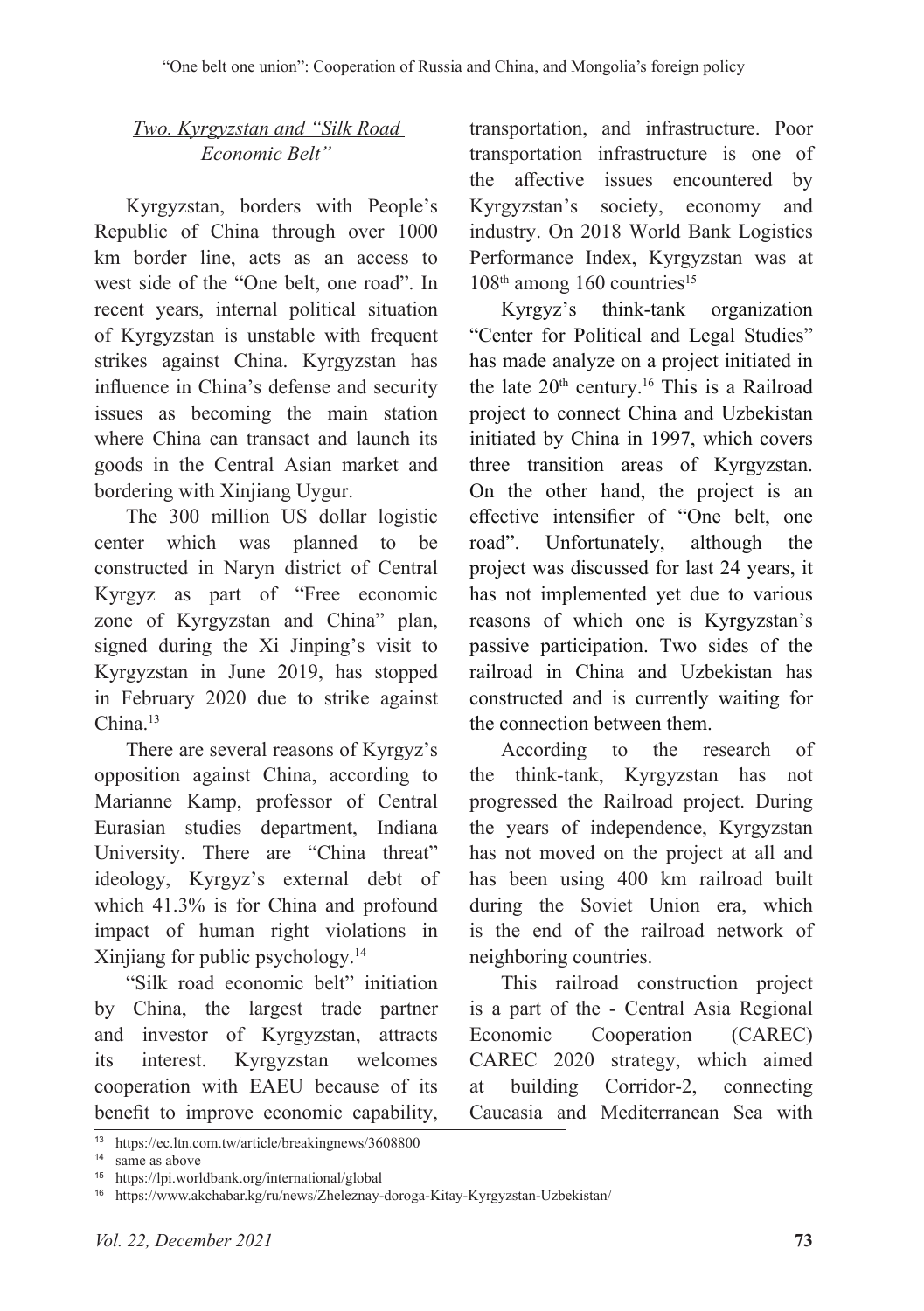## *Two. Kyrgyzstan and "Silk Road Economic Belt"*

Kyrgyzstan, borders with People's Republic of China through over 1000 km border line, acts as an access to west side of the "One belt, one road". In recent years, internal political situation of Kyrgyzstan is unstable with frequent strikes against China. Kyrgyzstan has influence in China's defense and security issues as becoming the main station where China can transact and launch its goods in the Central Asian market and bordering with Xinjiang Uygur.

The 300 million US dollar logistic center which was planned to be constructed in Naryn district of Central Kyrgyz as part of "Free economic zone of Kyrgyzstan and China" plan, signed during the Xi Jinping's visit to Kyrgyzstan in June 2019, has stopped in February 2020 due to strike against  $China.<sup>13</sup>$ 

There are several reasons of Kyrgyz's opposition against China, according to Marianne Kamp, professor of Central Eurasian studies department, Indiana University. There are "China threat" ideology, Kyrgyz's external debt of which 41.3% is for China and profound impact of human right violations in Xinjiang for public psychology.<sup>14</sup>

"Silk road economic belt" initiation by China, the largest trade partner and investor of Kyrgyzstan, attracts its interest. Kyrgyzstan welcomes cooperation with EAEU because of its benefit to improve economic capability,

transportation, and infrastructure. Poor transportation infrastructure is one of the affective issues encountered by Kyrgyzstan's society, economy and industry. On 2018 World Bank Logistics Performance Index, Kyrgyzstan was at  $108<sup>th</sup>$  among 160 countries<sup>15</sup>

Kyrgyz's think-tank organization "Center for Political and Legal Studies" has made analyze on a project initiated in the late  $20<sup>th</sup>$  century.<sup>16</sup> This is a Railroad project to connect China and Uzbekistan initiated by China in 1997, which covers three transition areas of Kyrgyzstan. On the other hand, the project is an effective intensifier of "One belt, one road". Unfortunately, although the project was discussed for last 24 years, it has not implemented yet due to various reasons of which one is Kyrgyzstan's passive participation. Two sides of the railroad in China and Uzbekistan has constructed and is currently waiting for the connection between them.

According to the research of the think-tank, Kyrgyzstan has not progressed the Railroad project. During the years of independence, Kyrgyzstan has not moved on the project at all and has been using 400 km railroad built during the Soviet Union era, which is the end of the railroad network of neighboring countries.

This railroad construction project is a part of the - Central Asia Regional Economic Cooperation (CAREC) CAREC 2020 strategy, which aimed at building Corridor-2, connecting Caucasia and Mediterranean Sea with

<sup>13</sup> https://ec.ltn.com.tw/article/breakingnews/3608800

<sup>&</sup>lt;sup>14</sup> same as above

<sup>15</sup> https://lpi.worldbank.org/international/global

<sup>16</sup> https://www.akchabar.kg/ru/news/Zheleznay-doroga-Kitay-Kyrgyzstan-Uzbekistan/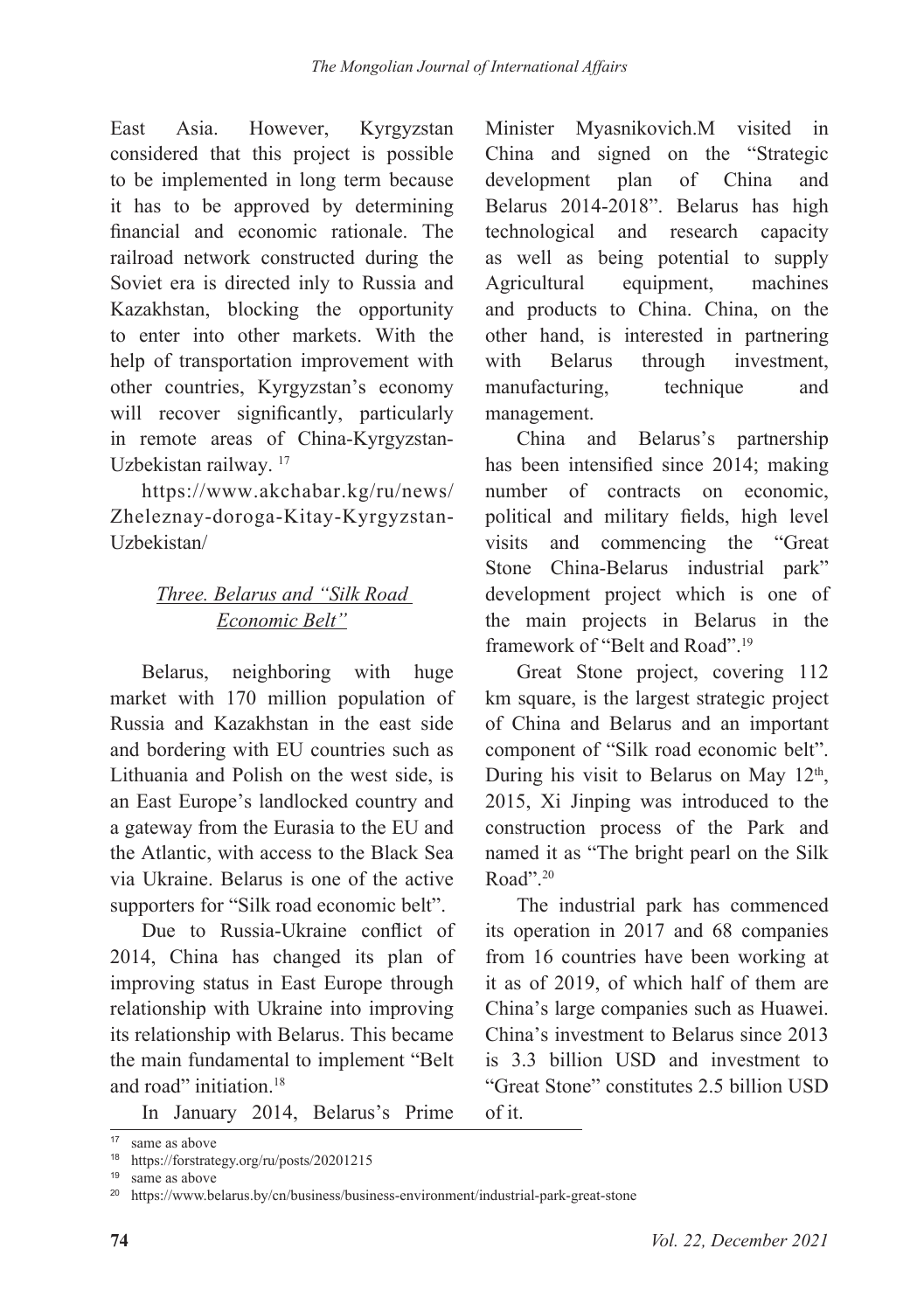East Asia. However, Kyrgyzstan considered that this project is possible to be implemented in long term because it has to be approved by determining financial and economic rationale. The railroad network constructed during the Soviet era is directed inly to Russia and Kazakhstan, blocking the opportunity to enter into other markets. With the help of transportation improvement with other countries, Kyrgyzstan's economy will recover significantly, particularly in remote areas of China-Kyrgyzstan-Uzbekistan railway. 17

https://www.akchabar.kg/ru/news/ Zheleznay-doroga-Kitay-Kyrgyzstan-Uzbekistan/

# *Three. Belarus and "Silk Road Economic Belt"*

Belarus, neighboring with huge market with 170 million population of Russia and Kazakhstan in the east side and bordering with EU countries such as Lithuania and Polish on the west side, is an East Europe's landlocked country and a gateway from the Eurasia to the EU and the Atlantic, with access to the Black Sea via Ukraine. Belarus is one of the active supporters for "Silk road economic belt".

Due to Russia-Ukraine conflict of 2014, China has changed its plan of improving status in East Europe through relationship with Ukraine into improving its relationship with Belarus. This became the main fundamental to implement "Belt and road" initiation.<sup>18</sup>

In January 2014, Belarus's Prime

Minister Myasnikovich.M visited in China and signed on the "Strategic development plan of China and Belarus 2014-2018". Belarus has high technological and research capacity as well as being potential to supply Agricultural equipment, machines and products to China. China, on the other hand, is interested in partnering with Belarus through investment, manufacturing, technique and management.

China and Belarus's partnership has been intensified since 2014; making number of contracts on economic, political and military fields, high level visits and commencing the "Great Stone China-Belarus industrial park" development project which is one of the main projects in Belarus in the framework of "Belt and Road".<sup>19</sup>

Great Stone project, covering 112 km square, is the largest strategic project of China and Belarus and an important component of "Silk road economic belt". During his visit to Belarus on May  $12<sup>th</sup>$ , 2015, Xi Jinping was introduced to the construction process of the Park and named it as "The bright pearl on the Silk Road".<sup>20</sup>

The industrial park has commenced its operation in 2017 and 68 companies from 16 countries have been working at it as of 2019, of which half of them are China's large companies such as Huawei. China's investment to Belarus since 2013 is 3.3 billion USD and investment to "Great Stone" constitutes 2.5 billion USD of it.

<sup>17</sup> same as above

<sup>18</sup> https://forstrategy.org/ru/posts/20201215

<sup>19</sup> same as above

<sup>20</sup> https://www.belarus.by/cn/business/business-environment/industrial-park-great-stone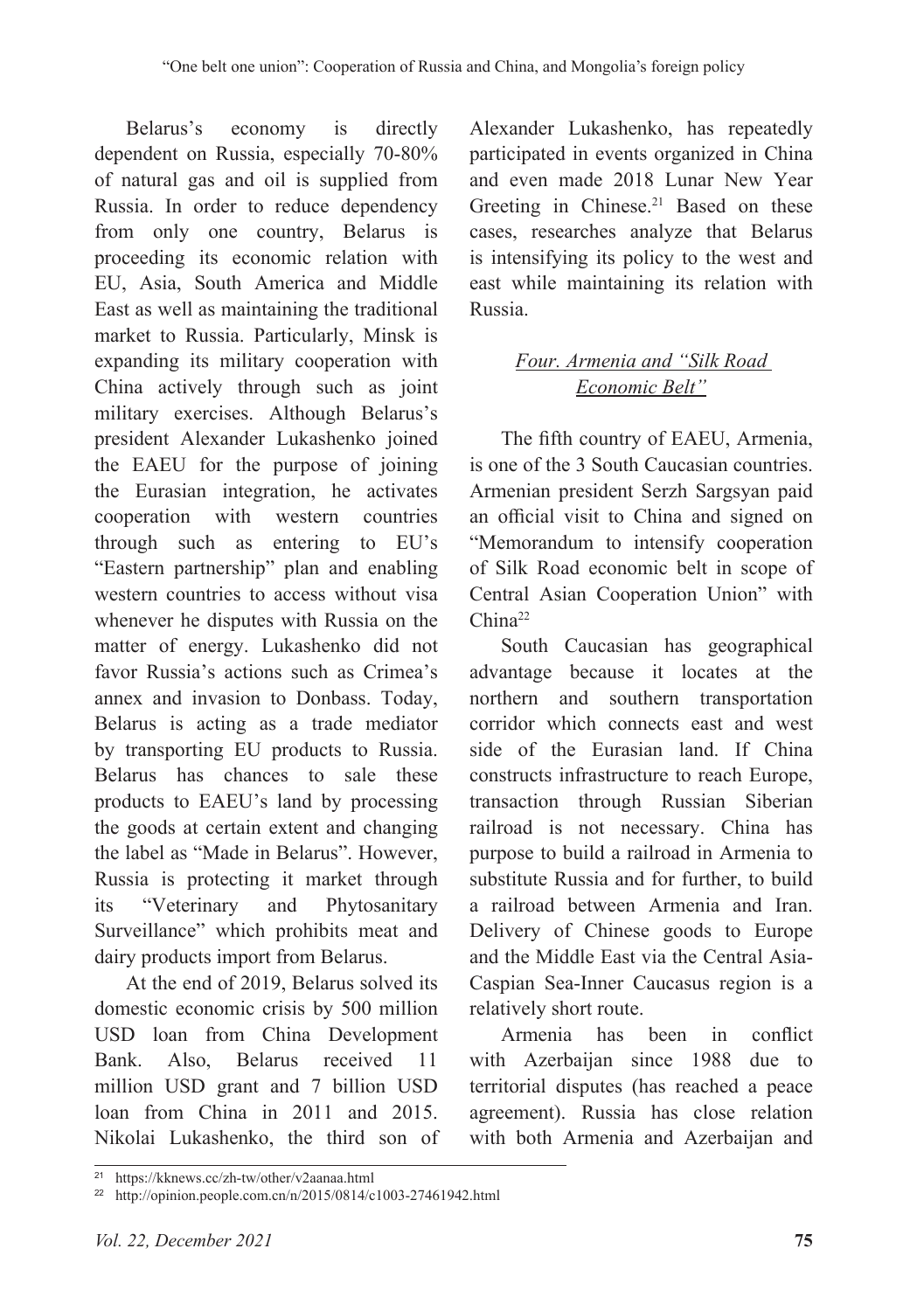Belarus's economy is directly dependent on Russia, especially 70-80% of natural gas and oil is supplied from Russia. In order to reduce dependency from only one country, Belarus is proceeding its economic relation with EU, Asia, South America and Middle East as well as maintaining the traditional market to Russia. Particularly, Minsk is expanding its military cooperation with China actively through such as joint military exercises. Although Belarus's president Alexander Lukashenko joined the EAEU for the purpose of joining the Eurasian integration, he activates cooperation with western countries through such as entering to EU's "Eastern partnership" plan and enabling western countries to access without visa whenever he disputes with Russia on the matter of energy. Lukashenko did not favor Russia's actions such as Crimea's annex and invasion to Donbass. Today, Belarus is acting as a trade mediator by transporting EU products to Russia. Belarus has chances to sale these products to EAEU's land by processing the goods at certain extent and changing the label as "Made in Belarus". However, Russia is protecting it market through its "Veterinary and Phytosanitary Surveillance" which prohibits meat and dairy products import from Belarus.

At the end of 2019, Belarus solved its domestic economic crisis by 500 million USD loan from China Development Bank. Also, Belarus received 11 million USD grant and 7 billion USD loan from China in 2011 and 2015. Nikolai Lukashenko, the third son of

Alexander Lukashenko, has repeatedly participated in events organized in China and even made 2018 Lunar New Year Greeting in Chinese.<sup>21</sup> Based on these cases, researches analyze that Belarus is intensifying its policy to the west and east while maintaining its relation with Russia.

# *Four. Armenia and "Silk Road Economic Belt"*

The fifth country of EAEU, Armenia, is one of the 3 South Caucasian countries. Armenian president Serzh Sargsyan paid an official visit to China and signed on "Memorandum to intensify cooperation of Silk Road economic belt in scope of Central Asian Cooperation Union" with China<sup>22</sup>

South Caucasian has geographical advantage because it locates at the northern and southern transportation corridor which connects east and west side of the Eurasian land. If China constructs infrastructure to reach Europe, transaction through Russian Siberian railroad is not necessary. China has purpose to build a railroad in Armenia to substitute Russia and for further, to build a railroad between Armenia and Iran. Delivery of Chinese goods to Europe and the Middle East via the Central Asia-Caspian Sea-Inner Caucasus region is a relatively short route.

Armenia has been in conflict with Azerbaijan since 1988 due to territorial disputes (has reached a peace agreement). Russia has close relation with both Armenia and Azerbaijan and

<sup>21</sup> https://kknews.cc/zh-tw/other/v2aanaa.html

<sup>22</sup> http://opinion.people.com.cn/n/2015/0814/c1003-27461942.html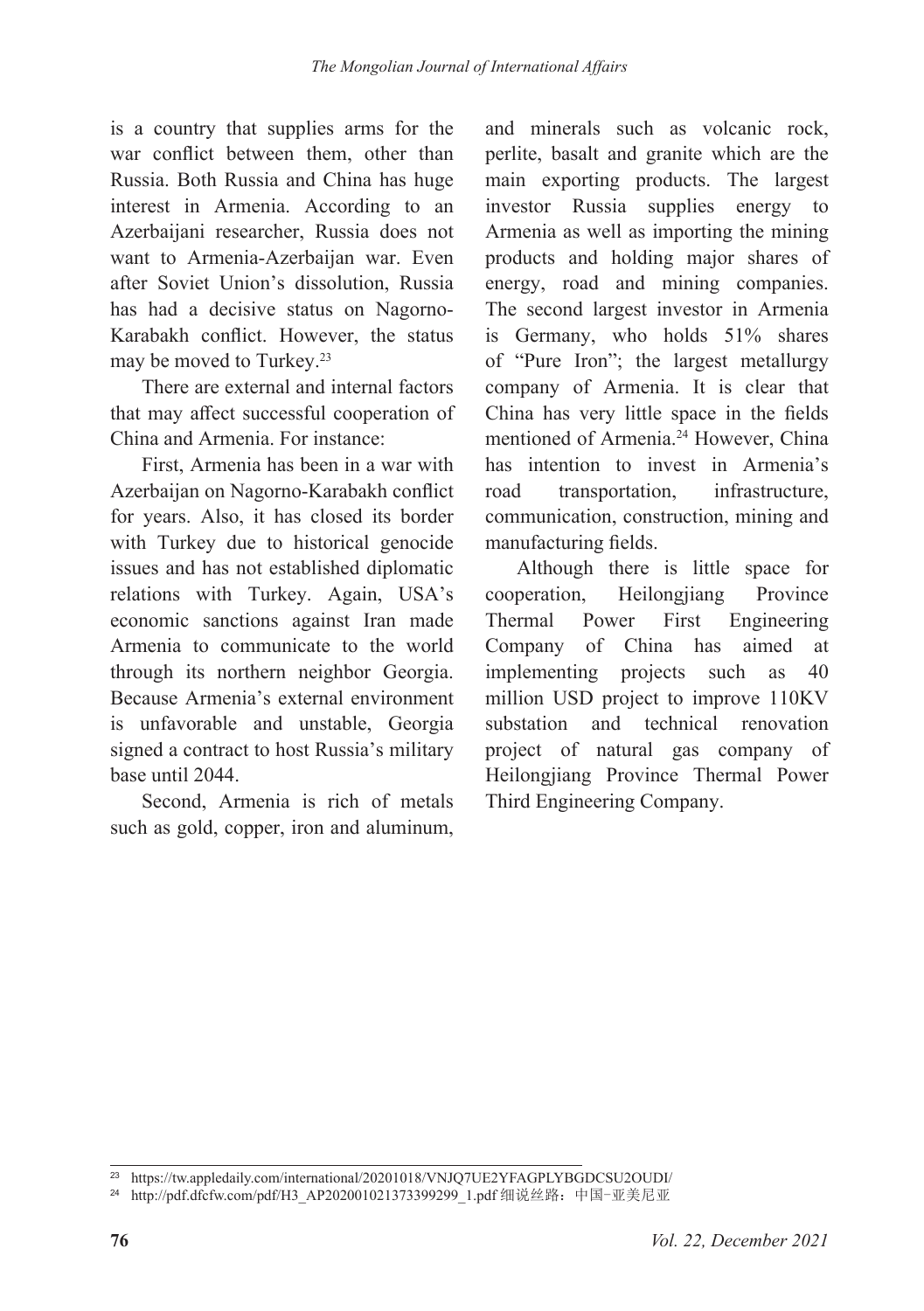is a country that supplies arms for the war conflict between them, other than Russia. Both Russia and China has huge interest in Armenia. According to an Azerbaijani researcher, Russia does not want to Armenia-Azerbaijan war. Even after Soviet Union's dissolution, Russia has had a decisive status on Nagorno-Karabakh conflict. However, the status may be moved to Turkey.<sup>23</sup>

There are external and internal factors that may affect successful cooperation of China and Armenia. For instance:

First, Armenia has been in a war with Azerbaijan on Nagorno-Karabakh conflict for years. Also, it has closed its border with Turkey due to historical genocide issues and has not established diplomatic relations with Turkey. Again, USA's economic sanctions against Iran made Armenia to communicate to the world through its northern neighbor Georgia. Because Armenia's external environment is unfavorable and unstable, Georgia signed a contract to host Russia's military base until 2044.

Second, Armenia is rich of metals such as gold, copper, iron and aluminum,

and minerals such as volcanic rock, perlite, basalt and granite which are the main exporting products. The largest investor Russia supplies energy to Armenia as well as importing the mining products and holding major shares of energy, road and mining companies. The second largest investor in Armenia is Germany, who holds 51% shares of "Pure Iron"; the largest metallurgy company of Armenia. It is clear that China has very little space in the fields mentioned of Armenia.24 However, China has intention to invest in Armenia's road transportation, infrastructure, communication, construction, mining and manufacturing fields.

Although there is little space for cooperation, Heilongjiang Province Thermal Power First Engineering Company of China has aimed at implementing projects such as 40 million USD project to improve 110KV substation and technical renovation project of natural gas company of Heilongjiang Province Thermal Power Third Engineering Company.

<sup>23</sup> https://tw.appledaily.com/international/20201018/VNJQ7UE2YFAGPLYBGDCSU2OUDI/

<sup>&</sup>lt;sup>24</sup> http://pdf.dfcfw.com/pdf/H3\_AP202001021373399299\_1.pdf 细说丝路: 中国-亚美尼亚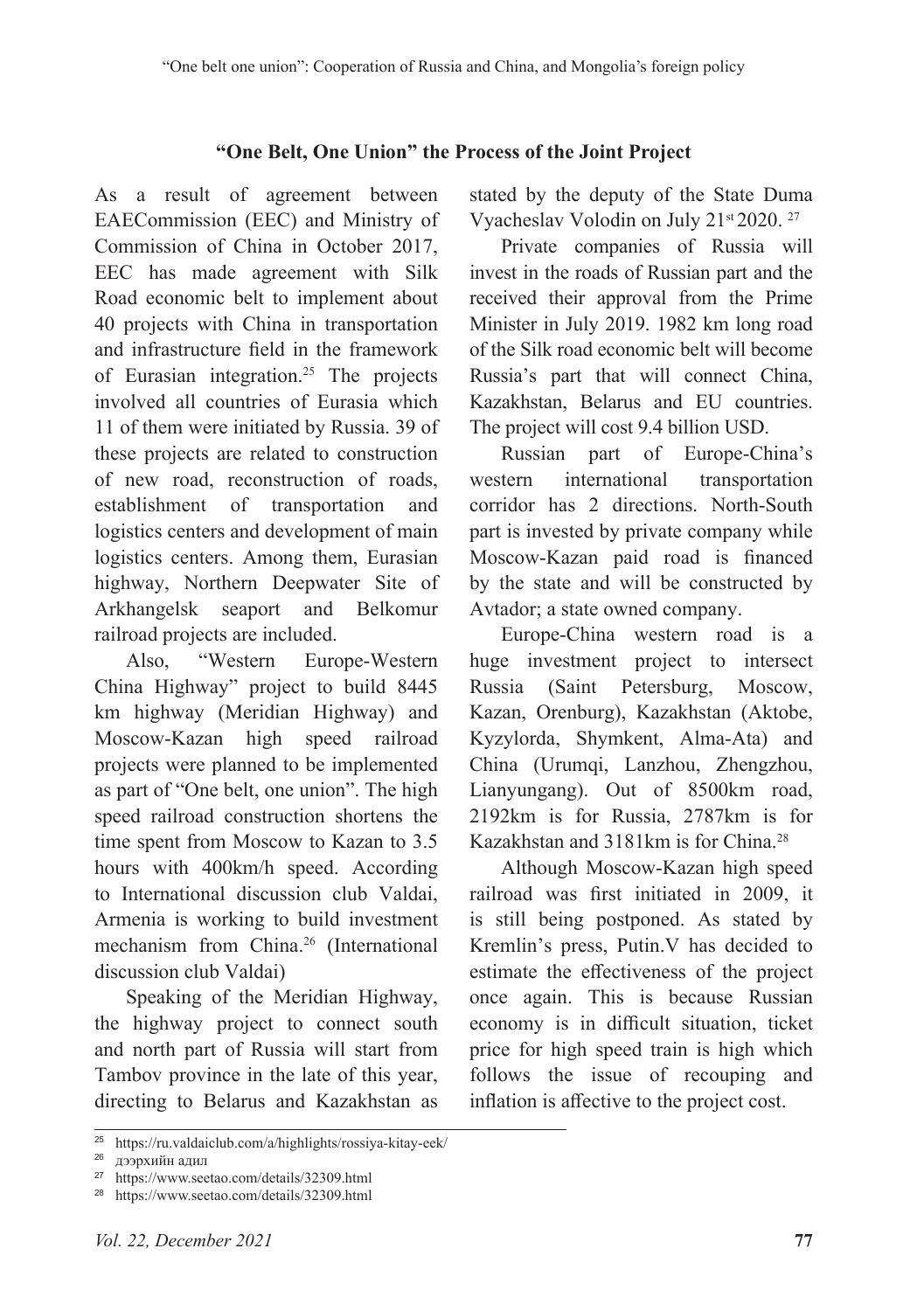#### **"One Belt, One Union" the Process of the Joint Project**

As a result of agreement between EAECommission (EEC) and Ministry of Commission of China in October 2017, EEC has made agreement with Silk Road economic belt to implement about 40 projects with China in transportation and infrastructure field in the framework of Eurasian integration.25 The projects involved all countries of Eurasia which 11 of them were initiated by Russia. 39 of these projects are related to construction of new road, reconstruction of roads, establishment of transportation and logistics centers and development of main logistics centers. Among them, Eurasian highway, Northern Deepwater Site of Arkhangelsk seaport and Belkomur railroad projects are included.

Also, "Western Europe-Western China Highway" project to build 8445 km highway (Meridian Highway) and Moscow-Kazan high speed railroad projects were planned to be implemented as part of "One belt, one union". The high speed railroad construction shortens the time spent from Moscow to Kazan to 3.5 hours with 400km/h speed. According to International discussion club Valdai, Armenia is working to build investment mechanism from China.26 (International discussion club Valdai)

Speaking of the Meridian Highway, the highway project to connect south and north part of Russia will start from Tambov province in the late of this year, directing to Belarus and Kazakhstan as stated by the deputy of the State Duma Vyacheslav Volodin on July 21st 2020. 27

Private companies of Russia will invest in the roads of Russian part and the received their approval from the Prime Minister in July 2019. 1982 km long road of the Silk road economic belt will become Russia's part that will connect China, Kazakhstan, Belarus and EU countries. The project will cost 9.4 billion USD.

Russian part of Europe-China's western international transportation corridor has 2 directions. North-South part is invested by private company while Moscow-Kazan paid road is financed by the state and will be constructed by Avtador; a state owned company.

Europe-China western road is a huge investment project to intersect Russia (Saint Petersburg, Moscow, Kazan, Orenburg), Kazakhstan (Aktobe, Kyzylorda, Shymkent, Alma-Ata) and China (Urumqi, Lanzhou, Zhengzhou, Lianyungang). Out of 8500km road, 2192km is for Russia, 2787km is for Kazakhstan and 3181km is for China.28

Although Moscow-Kazan high speed railroad was first initiated in 2009, it is still being postponed. As stated by Kremlin's press, Putin.V has decided to estimate the effectiveness of the project once again. This is because Russian economy is in difficult situation, ticket price for high speed train is high which follows the issue of recouping and inflation is affective to the project cost.

<sup>25</sup> https://ru.valdaiclub.com/a/highlights/rossiya-kitay-eek/

<sup>26</sup> дээрхийн адил

<sup>27</sup> https://www.seetao.com/details/32309.html

<sup>28</sup> https://www.seetao.com/details/32309.html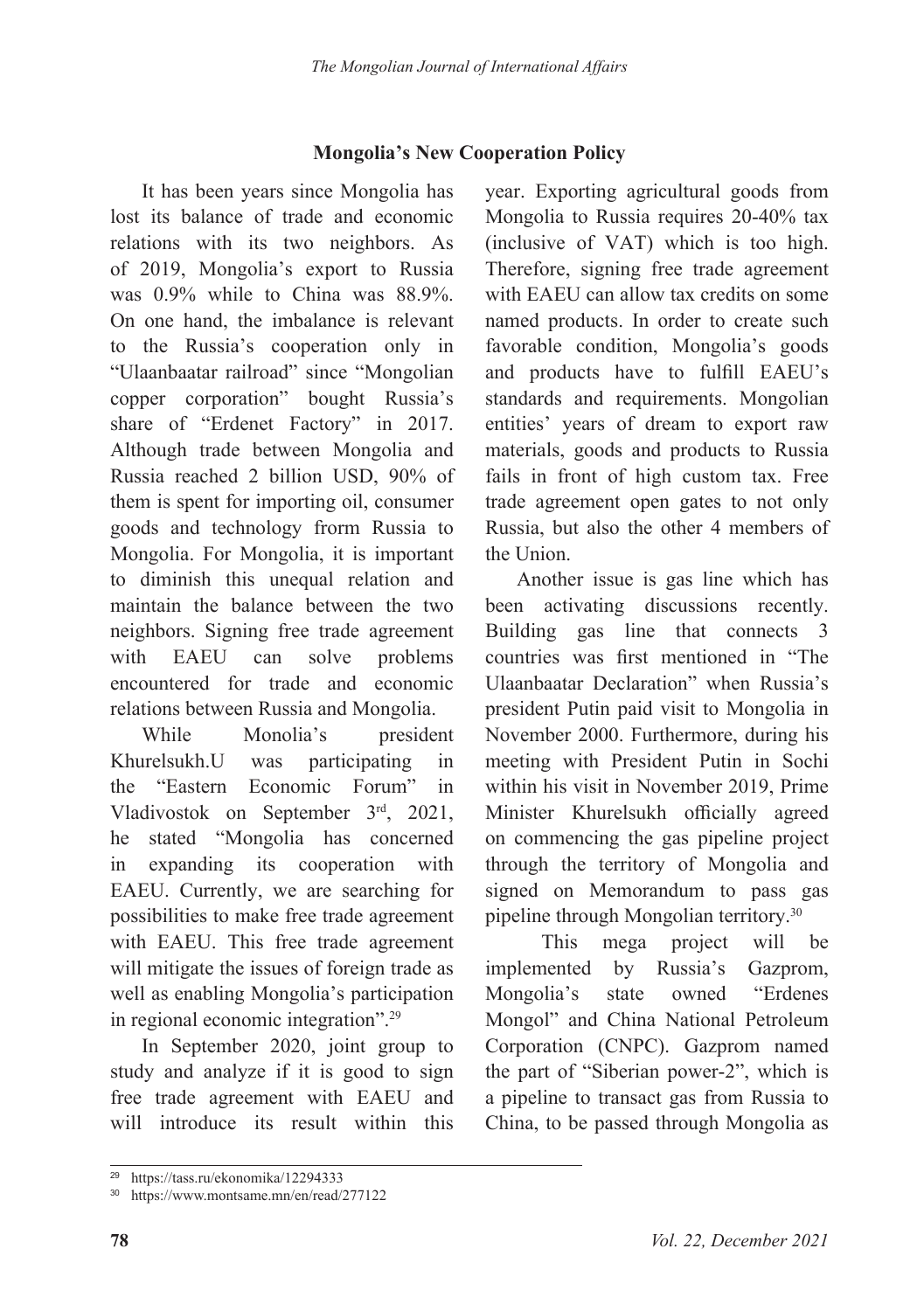### **Mongolia's New Cooperation Policy**

It has been years since Mongolia has lost its balance of trade and economic relations with its two neighbors. As of 2019, Mongolia's export to Russia was 0.9% while to China was 88.9%. On one hand, the imbalance is relevant to the Russia's cooperation only in "Ulaanbaatar railroad" since "Mongolian copper corporation" bought Russia's share of "Erdenet Factory" in 2017. Although trade between Mongolia and Russia reached 2 billion USD, 90% of them is spent for importing oil, consumer goods and technology frorm Russia to Mongolia. For Mongolia, it is important to diminish this unequal relation and maintain the balance between the two neighbors. Signing free trade agreement with EAEU can solve problems encountered for trade and economic relations between Russia and Mongolia.

While Monolia's president Khurelsukh.U was participating in the "Eastern Economic Forum" in Vladivostok on September 3rd, 2021, he stated "Mongolia has concerned in expanding its cooperation with EAEU. Currently, we are searching for possibilities to make free trade agreement with EAEU. This free trade agreement will mitigate the issues of foreign trade as well as enabling Mongolia's participation in regional economic integration".29

In September 2020, joint group to study and analyze if it is good to sign free trade agreement with EAEU and will introduce its result within this year. Exporting agricultural goods from Mongolia to Russia requires 20-40% tax (inclusive of VAT) which is too high. Therefore, signing free trade agreement with EAEU can allow tax credits on some named products. In order to create such favorable condition, Mongolia's goods and products have to fulfill EAEU's standards and requirements. Mongolian entities' years of dream to export raw materials, goods and products to Russia fails in front of high custom tax. Free trade agreement open gates to not only Russia, but also the other 4 members of the Union.

Another issue is gas line which has been activating discussions recently. Building gas line that connects 3 countries was first mentioned in "The Ulaanbaatar Declaration" when Russia's president Putin paid visit to Mongolia in November 2000. Furthermore, during his meeting with President Putin in Sochi within his visit in November 2019, Prime Minister Khurelsukh officially agreed on commencing the gas pipeline project through the territory of Mongolia and signed on Memorandum to pass gas pipeline through Mongolian territory.30

 This mega project will be implemented by Russia's Gazprom, Mongolia's state owned "Erdenes Mongol" and China National Petroleum Corporation (CNPC). Gazprom named the part of "Siberian power-2", which is a pipeline to transact gas from Russia to China, to be passed through Mongolia as

<sup>29</sup> https://tass.ru/ekonomika/12294333

<sup>30</sup> https://www.montsame.mn/en/read/277122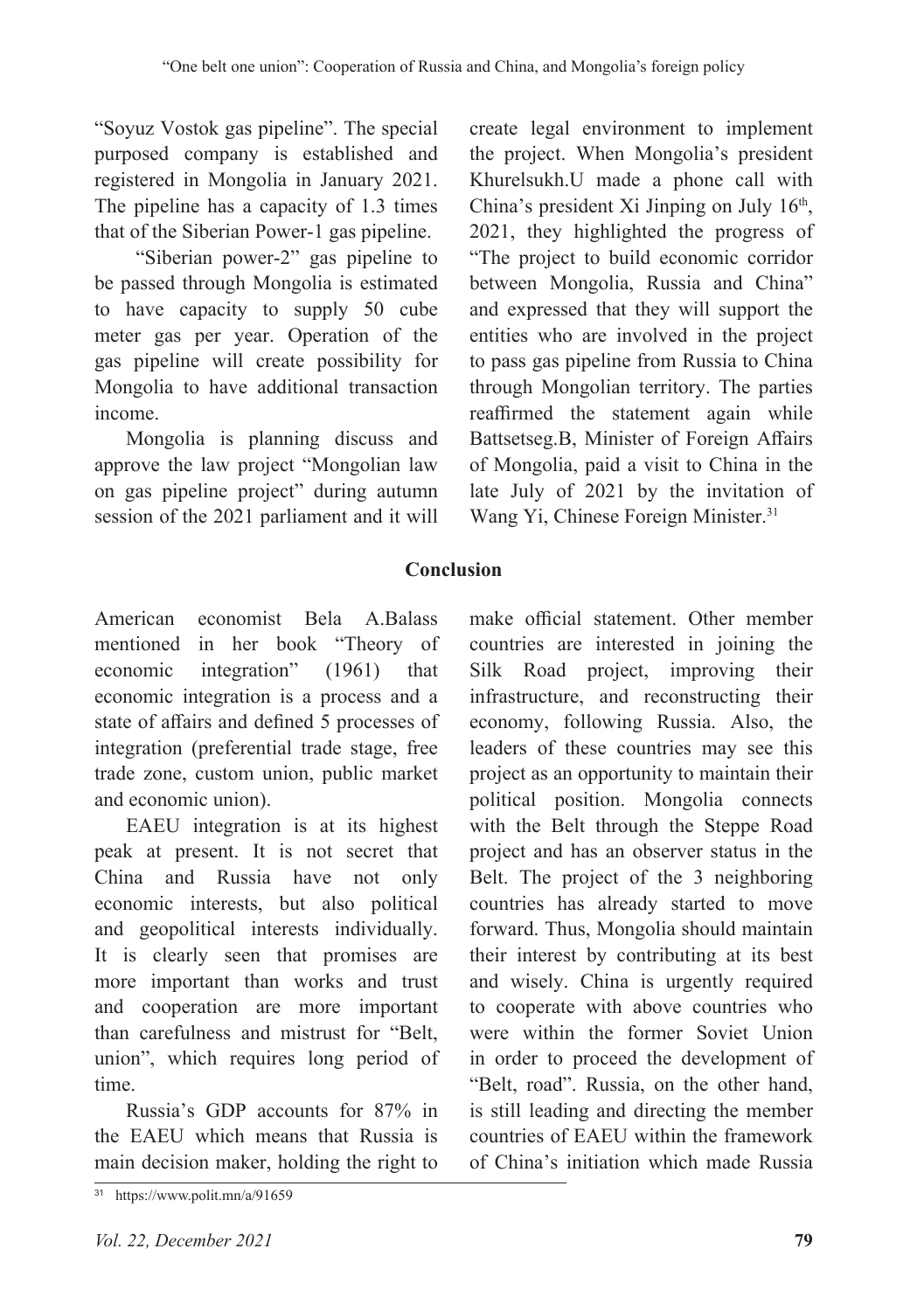"Soyuz Vostok gas pipeline". The special purposed company is established and registered in Mongolia in January 2021. The pipeline has a capacity of 1.3 times that of the Siberian Power-1 gas pipeline.

 "Siberian power-2" gas pipeline to be passed through Mongolia is estimated to have capacity to supply 50 cube meter gas per year. Operation of the gas pipeline will create possibility for Mongolia to have additional transaction income.

Mongolia is planning discuss and approve the law project "Mongolian law on gas pipeline project" during autumn session of the 2021 parliament and it will

create legal environment to implement the project. When Mongolia's president Khurelsukh.U made a phone call with China's president Xi Jinping on July 16<sup>th</sup>, 2021, they highlighted the progress of "The project to build economic corridor between Mongolia, Russia and China" and expressed that they will support the entities who are involved in the project to pass gas pipeline from Russia to China through Mongolian territory. The parties reaffirmed the statement again while Battsetseg.B, Minister of Foreign Affairs of Mongolia, paid a visit to China in the late July of 2021 by the invitation of Wang Yi, Chinese Foreign Minister.31

### **Conclusion**

American economist Bela A.Balass mentioned in her book "Theory of economic integration" (1961) that economic integration is a process and a state of affairs and defined 5 processes of integration (preferential trade stage, free trade zone, custom union, public market and economic union).

EAEU integration is at its highest peak at present. It is not secret that China and Russia have not only economic interests, but also political and geopolitical interests individually. It is clearly seen that promises are more important than works and trust and cooperation are more important than carefulness and mistrust for "Belt, union", which requires long period of time.

Russia's GDP accounts for 87% in the EAEU which means that Russia is main decision maker, holding the right to

make official statement. Other member countries are interested in joining the Silk Road project, improving their infrastructure, and reconstructing their economy, following Russia. Also, the leaders of these countries may see this project as an opportunity to maintain their political position. Mongolia connects with the Belt through the Steppe Road project and has an observer status in the Belt. The project of the 3 neighboring countries has already started to move forward. Thus, Mongolia should maintain their interest by contributing at its best and wisely. China is urgently required to cooperate with above countries who were within the former Soviet Union in order to proceed the development of "Belt, road". Russia, on the other hand, is still leading and directing the member countries of EAEU within the framework of China's initiation which made Russia

<sup>31</sup> https://www.polit.mn/a/91659